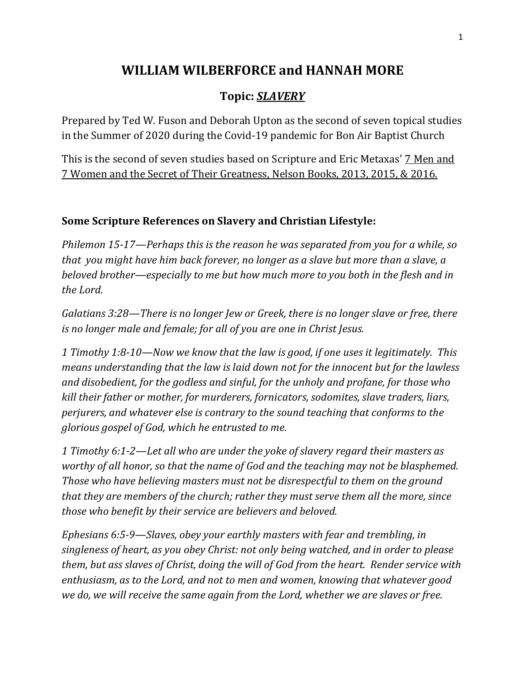## **WILLIAM WILBERFORCE and HANNAH MORE**

## **Topic:** *SLAVERY*

Prepared by Ted W. Fuson and Deborah Upton as the second of seven topical studies in the Summer of 2020 during the Covid-19 pandemic for Bon Air Baptist Church

This is the second of seven studies based on Scripture and Eric Metaxas' 7 Men and 7 Women and the Secret of Their Greatness, Nelson Books, 2013, 2015, & 2016.

## **Some Scripture References on Slavery and Christian Lifestyle:**

*Philemon 15-17—Perhaps this is the reason he was separated from you for a while, so that you might have him back forever, no longer as a slave but more than a slave, a beloved brother—especially to me but how much more to you both in the flesh and in the Lord.*

*Galatians 3:28—There is no longer Jew or Greek, there is no longer slave or free, there is no longer male and female; for all of you are one in Christ Jesus.*

*1 Timothy 1:8-10—Now we know that the law is good, if one uses it legitimately. This means understanding that the law is laid down not for the innocent but for the lawless and disobedient, for the godless and sinful, for the unholy and profane, for those who kill their father or mother, for murderers, fornicators, sodomites, slave traders, liars, perjurers, and whatever else is contrary to the sound teaching that conforms to the glorious gospel of God, which he entrusted to me.*

*1 Timothy 6:1-2—Let all who are under the yoke of slavery regard their masters as worthy of all honor, so that the name of God and the teaching may not be blasphemed. Those who have believing masters must not be disrespectful to them on the ground that they are members of the church; rather they must serve them all the more, since those who benefit by their service are believers and beloved.*

*Ephesians 6:5-9—Slaves, obey your earthly masters with fear and trembling, in singleness of heart, as you obey Christ: not only being watched, and in order to please them, but ass slaves of Christ, doing the will of God from the heart. Render service with enthusiasm, as to the Lord, and not to men and women, knowing that whatever good we do, we will receive the same again from the Lord, whether we are slaves or free.*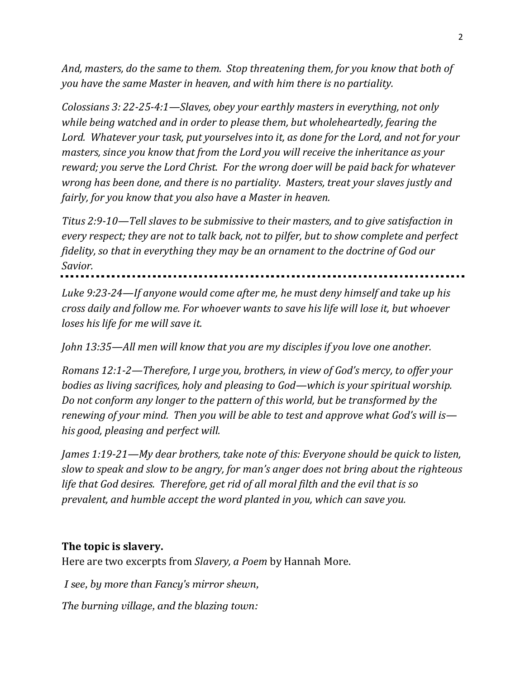*And, masters, do the same to them. Stop threatening them, for you know that both of you have the same Master in heaven, and with him there is no partiality.*

*Colossians 3: 22-25-4:1—Slaves, obey your earthly masters in everything, not only while being watched and in order to please them, but wholeheartedly, fearing the Lord. Whatever your task, put yourselves into it, as done for the Lord, and not for your masters, since you know that from the Lord you will receive the inheritance as your reward; you serve the Lord Christ. For the wrong doer will be paid back for whatever wrong has been done, and there is no partiality. Masters, treat your slaves justly and fairly, for you know that you also have a Master in heaven.*

*Titus 2:9-10—Tell slaves to be submissive to their masters, and to give satisfaction in every respect; they are not to talk back, not to pilfer, but to show complete and perfect fidelity, so that in everything they may be an ornament to the doctrine of God our Savior.*

*Luke 9:23-24—If anyone would come after me, he must deny himself and take up his cross daily and follow me. For whoever wants to save his life will lose it, but whoever loses his life for me will save it.*

*John 13:35—All men will know that you are my disciples if you love one another.*

*Romans 12:1-2—Therefore, I urge you, brothers, in view of God's mercy, to offer your bodies as living sacrifices, holy and pleasing to God—which is your spiritual worship. Do not conform any longer to the pattern of this world, but be transformed by the renewing of your mind. Then you will be able to test and approve what God's will is his good, pleasing and perfect will.*

*James 1:19-21—My dear brothers, take note of this: Everyone should be quick to listen, slow to speak and slow to be angry, for man's anger does not bring about the righteous life that God desires. Therefore, get rid of all moral filth and the evil that is so prevalent, and humble accept the word planted in you, which can save you.*

## **The topic is slavery.**

Here are two excerpts from *Slavery, a Poem* by Hannah More.

*I see, by more than Fancy's mirror shewn, The burning village, and the blazing town:*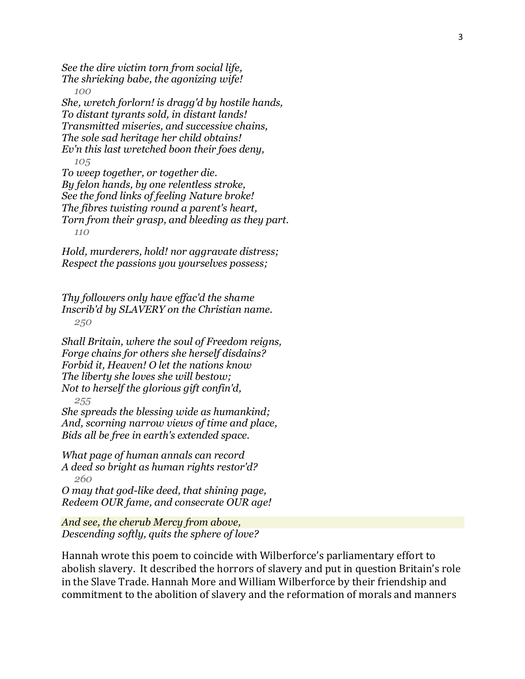*See the dire victim torn from social life, The shrieking babe, the agonizing wife! 100 She, wretch forlorn! is dragg'd by hostile hands, To distant tyrants sold, in distant lands! Transmitted miseries, and successive chains, The sole sad heritage her child obtains! Ev'n this last wretched boon their foes deny, 105 To weep together, or together die. By felon hands, by one relentless stroke, See the fond links of feeling Nature broke! The fibres twisting round a parent's heart, Torn from their grasp, and bleeding as they part. 110*

*Hold, murderers, hold! nor aggravate distress; Respect the passions you yourselves possess;*

*Thy followers only have effac'd the shame Inscrib'd by SLAVERY on the Christian name. 250*

*Shall Britain, where the soul of Freedom reigns, Forge chains for others she herself disdains? Forbid it, Heaven! O let the nations know The liberty she loves she will bestow; Not to herself the glorious gift confin'd, 255*

*She spreads the blessing wide as humankind; And, scorning narrow views of time and place, Bids all be free in earth's extended space.*

*What page of human annals can record A deed so bright as human rights restor'd? 260*

*O may that god-like deed, that shining page, Redeem OUR fame, and consecrate OUR age!*

*And see, the cherub Mercy from above, Descending softly, quits the sphere of love?* 

Hannah wrote this poem to coincide with Wilberforce's parliamentary effort to abolish slavery. It described the horrors of slavery and put in question Britain's role in the Slave Trade. Hannah More and William Wilberforce by their friendship and commitment to the abolition of slavery and the reformation of morals and manners